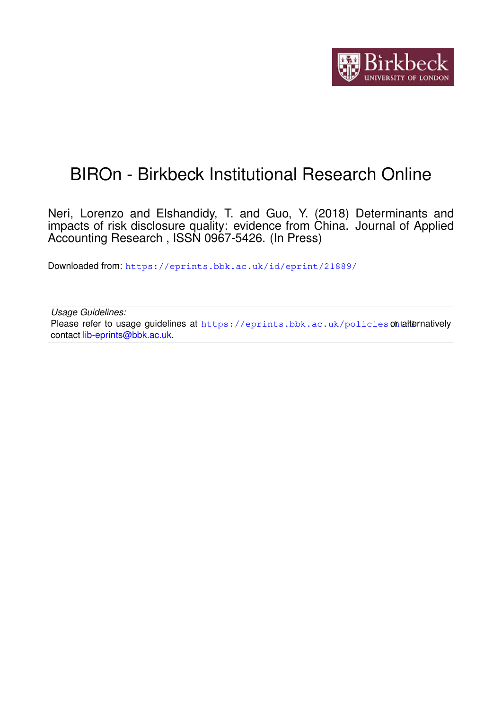

# BIROn - Birkbeck Institutional Research Online

Neri, Lorenzo and Elshandidy, T. and Guo, Y. (2018) Determinants and impacts of risk disclosure quality: evidence from China. Journal of Applied Accounting Research , ISSN 0967-5426. (In Press)

Downloaded from: https://eprints.bbk.ac.uk/id/eprint/21889/

*Usage Guidelines:* Please refer to usage guidelines at https://eprints.bbk.ac.uk/policies.ontalternatively contact lib-eprints@bbk.ac.uk.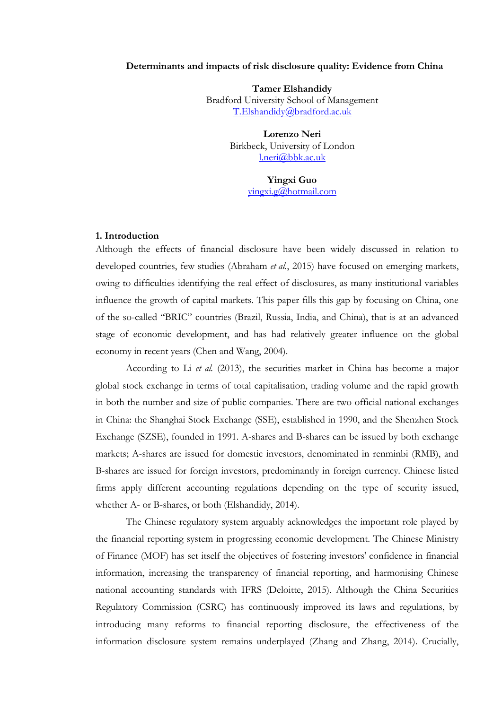#### Determinants and impacts of risk disclosure quality: Evidence from China

Tamer Elshandidy Bradford University School of Management T.Elshandidy@bradford.ac.uk

> Lorenzo Neri Birkbeck, University of London l.neri@bbk.ac.uk

> > Yingxi Guo yingxi.g@hotmail.com

## 1. Introduction

Although the effects of financial disclosure have been widely discussed in relation to developed countries, few studies (Abraham et al., 2015) have focused on emerging markets, owing to difficulties identifying the real effect of disclosures, as many institutional variables influence the growth of capital markets. This paper fills this gap by focusing on China, one of the so-called "BRIC" countries (Brazil, Russia, India, and China), that is at an advanced stage of economic development, and has had relatively greater influence on the global economy in recent years (Chen and Wang, 2004).

According to Li et al. (2013), the securities market in China has become a major global stock exchange in terms of total capitalisation, trading volume and the rapid growth in both the number and size of public companies. There are two official national exchanges in China: the Shanghai Stock Exchange (SSE), established in 1990, and the Shenzhen Stock Exchange (SZSE), founded in 1991. A-shares and B-shares can be issued by both exchange markets; A-shares are issued for domestic investors, denominated in renminbi (RMB), and B-shares are issued for foreign investors, predominantly in foreign currency. Chinese listed firms apply different accounting regulations depending on the type of security issued, whether A- or B-shares, or both (Elshandidy, 2014).

The Chinese regulatory system arguably acknowledges the important role played by the financial reporting system in progressing economic development. The Chinese Ministry of Finance (MOF) has set itself the objectives of fostering investors' confidence in financial information, increasing the transparency of financial reporting, and harmonising Chinese national accounting standards with IFRS (Deloitte, 2015). Although the China Securities Regulatory Commission (CSRC) has continuously improved its laws and regulations, by introducing many reforms to financial reporting disclosure, the effectiveness of the information disclosure system remains underplayed (Zhang and Zhang, 2014). Crucially,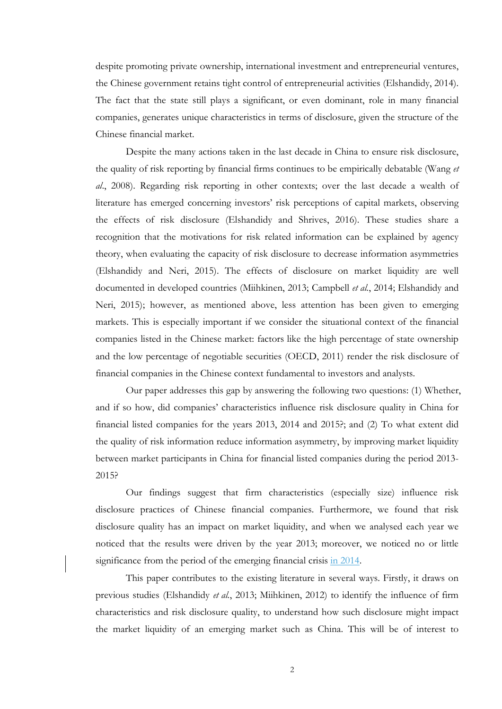despite promoting private ownership, international investment and entrepreneurial ventures, the Chinese government retains tight control of entrepreneurial activities (Elshandidy, 2014). The fact that the state still plays a significant, or even dominant, role in many financial companies, generates unique characteristics in terms of disclosure, given the structure of the Chinese financial market.

Despite the many actions taken in the last decade in China to ensure risk disclosure, the quality of risk reporting by financial firms continues to be empirically debatable (Wang et al., 2008). Regarding risk reporting in other contexts; over the last decade a wealth of literature has emerged concerning investors' risk perceptions of capital markets, observing the effects of risk disclosure (Elshandidy and Shrives, 2016). These studies share a recognition that the motivations for risk related information can be explained by agency theory, when evaluating the capacity of risk disclosure to decrease information asymmetries (Elshandidy and Neri, 2015). The effects of disclosure on market liquidity are well documented in developed countries (Miihkinen, 2013; Campbell et al., 2014; Elshandidy and Neri, 2015); however, as mentioned above, less attention has been given to emerging markets. This is especially important if we consider the situational context of the financial companies listed in the Chinese market: factors like the high percentage of state ownership and the low percentage of negotiable securities (OECD, 2011) render the risk disclosure of financial companies in the Chinese context fundamental to investors and analysts.

Our paper addresses this gap by answering the following two questions: (1) Whether, and if so how, did companies' characteristics influence risk disclosure quality in China for financial listed companies for the years 2013, 2014 and 2015?; and (2) To what extent did the quality of risk information reduce information asymmetry, by improving market liquidity between market participants in China for financial listed companies during the period 2013- 2015?

Our findings suggest that firm characteristics (especially size) influence risk disclosure practices of Chinese financial companies. Furthermore, we found that risk disclosure quality has an impact on market liquidity, and when we analysed each year we noticed that the results were driven by the year 2013; moreover, we noticed no or little significance from the period of the emerging financial crisis in 2014.

This paper contributes to the existing literature in several ways. Firstly, it draws on previous studies (Elshandidy et al., 2013; Miihkinen, 2012) to identify the influence of firm characteristics and risk disclosure quality, to understand how such disclosure might impact the market liquidity of an emerging market such as China. This will be of interest to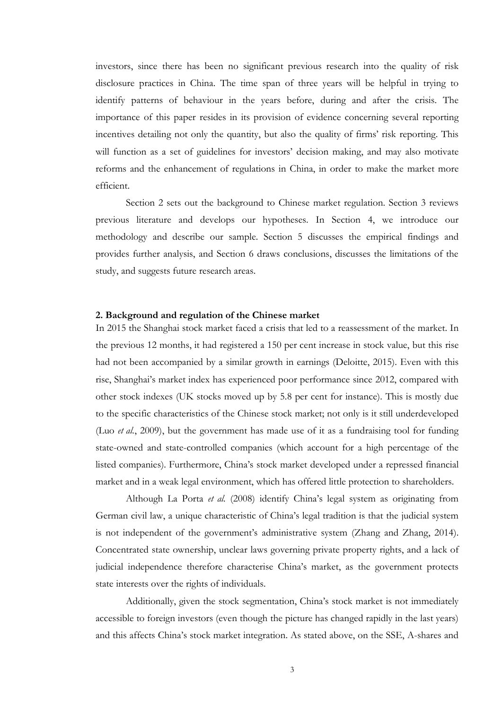investors, since there has been no significant previous research into the quality of risk disclosure practices in China. The time span of three years will be helpful in trying to identify patterns of behaviour in the years before, during and after the crisis. The importance of this paper resides in its provision of evidence concerning several reporting incentives detailing not only the quantity, but also the quality of firms' risk reporting. This will function as a set of guidelines for investors' decision making, and may also motivate reforms and the enhancement of regulations in China, in order to make the market more efficient.

Section 2 sets out the background to Chinese market regulation. Section 3 reviews previous literature and develops our hypotheses. In Section 4, we introduce our methodology and describe our sample. Section 5 discusses the empirical findings and provides further analysis, and Section 6 draws conclusions, discusses the limitations of the study, and suggests future research areas.

## 2. Background and regulation of the Chinese market

In 2015 the Shanghai stock market faced a crisis that led to a reassessment of the market. In the previous 12 months, it had registered a 150 per cent increase in stock value, but this rise had not been accompanied by a similar growth in earnings (Deloitte, 2015). Even with this rise, Shanghai's market index has experienced poor performance since 2012, compared with other stock indexes (UK stocks moved up by 5.8 per cent for instance). This is mostly due to the specific characteristics of the Chinese stock market; not only is it still underdeveloped (Luo *et al.*, 2009), but the government has made use of it as a fundraising tool for funding state-owned and state-controlled companies (which account for a high percentage of the listed companies). Furthermore, China's stock market developed under a repressed financial market and in a weak legal environment, which has offered little protection to shareholders.

Although La Porta et al. (2008) identify China's legal system as originating from German civil law, a unique characteristic of China's legal tradition is that the judicial system is not independent of the government's administrative system (Zhang and Zhang, 2014). Concentrated state ownership, unclear laws governing private property rights, and a lack of judicial independence therefore characterise China's market, as the government protects state interests over the rights of individuals.

Additionally, given the stock segmentation, China's stock market is not immediately accessible to foreign investors (even though the picture has changed rapidly in the last years) and this affects China's stock market integration. As stated above, on the SSE, A-shares and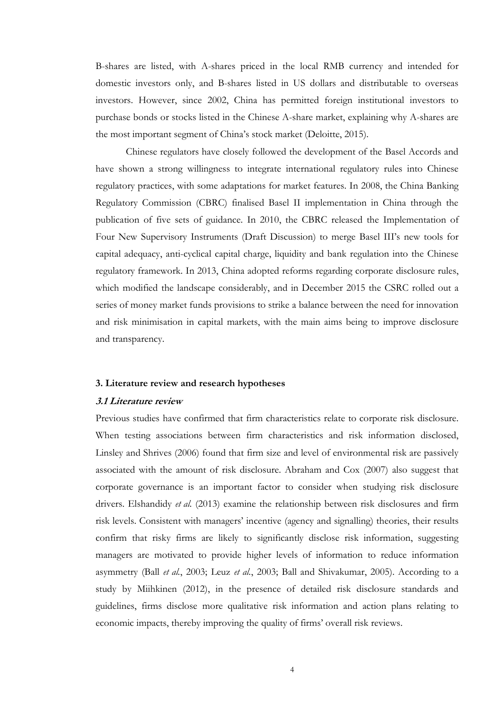B-shares are listed, with A-shares priced in the local RMB currency and intended for domestic investors only, and B-shares listed in US dollars and distributable to overseas investors. However, since 2002, China has permitted foreign institutional investors to purchase bonds or stocks listed in the Chinese A-share market, explaining why A-shares are the most important segment of China's stock market (Deloitte, 2015).

Chinese regulators have closely followed the development of the Basel Accords and have shown a strong willingness to integrate international regulatory rules into Chinese regulatory practices, with some adaptations for market features. In 2008, the China Banking Regulatory Commission (CBRC) finalised Basel II implementation in China through the publication of five sets of guidance. In 2010, the CBRC released the Implementation of Four New Supervisory Instruments (Draft Discussion) to merge Basel III's new tools for capital adequacy, anti-cyclical capital charge, liquidity and bank regulation into the Chinese regulatory framework. In 2013, China adopted reforms regarding corporate disclosure rules, which modified the landscape considerably, and in December 2015 the CSRC rolled out a series of money market funds provisions to strike a balance between the need for innovation and risk minimisation in capital markets, with the main aims being to improve disclosure and transparency.

#### 3. Literature review and research hypotheses

#### 3.1 Literature review

Previous studies have confirmed that firm characteristics relate to corporate risk disclosure. When testing associations between firm characteristics and risk information disclosed, Linsley and Shrives (2006) found that firm size and level of environmental risk are passively associated with the amount of risk disclosure. Abraham and Cox (2007) also suggest that corporate governance is an important factor to consider when studying risk disclosure drivers. Elshandidy et al. (2013) examine the relationship between risk disclosures and firm risk levels. Consistent with managers' incentive (agency and signalling) theories, their results confirm that risky firms are likely to significantly disclose risk information, suggesting managers are motivated to provide higher levels of information to reduce information asymmetry (Ball et al., 2003; Leuz et al., 2003; Ball and Shivakumar, 2005). According to a study by Miihkinen (2012), in the presence of detailed risk disclosure standards and guidelines, firms disclose more qualitative risk information and action plans relating to economic impacts, thereby improving the quality of firms' overall risk reviews.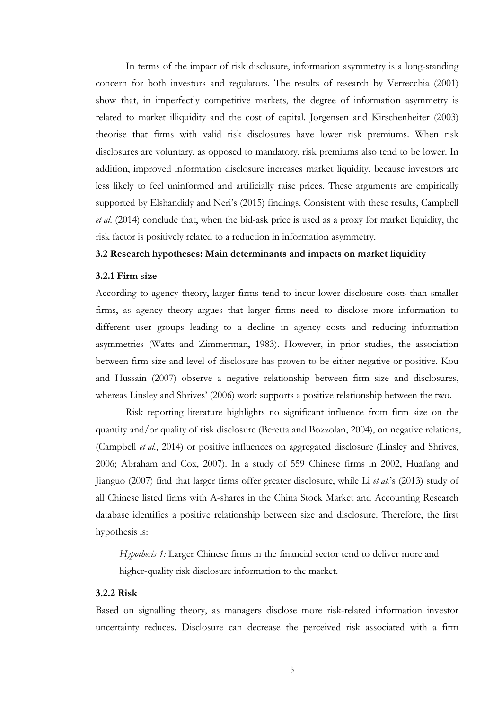In terms of the impact of risk disclosure, information asymmetry is a long-standing concern for both investors and regulators. The results of research by Verrecchia (2001) show that, in imperfectly competitive markets, the degree of information asymmetry is related to market illiquidity and the cost of capital. Jorgensen and Kirschenheiter (2003) theorise that firms with valid risk disclosures have lower risk premiums. When risk disclosures are voluntary, as opposed to mandatory, risk premiums also tend to be lower. In addition, improved information disclosure increases market liquidity, because investors are less likely to feel uninformed and artificially raise prices. These arguments are empirically supported by Elshandidy and Neri's (2015) findings. Consistent with these results, Campbell et al. (2014) conclude that, when the bid-ask price is used as a proxy for market liquidity, the risk factor is positively related to a reduction in information asymmetry.

# 3.2 Research hypotheses: Main determinants and impacts on market liquidity

#### 3.2.1 Firm size

According to agency theory, larger firms tend to incur lower disclosure costs than smaller firms, as agency theory argues that larger firms need to disclose more information to different user groups leading to a decline in agency costs and reducing information asymmetries (Watts and Zimmerman, 1983). However, in prior studies, the association between firm size and level of disclosure has proven to be either negative or positive. Kou and Hussain (2007) observe a negative relationship between firm size and disclosures, whereas Linsley and Shrives' (2006) work supports a positive relationship between the two.

Risk reporting literature highlights no significant influence from firm size on the quantity and/or quality of risk disclosure (Beretta and Bozzolan, 2004), on negative relations, (Campbell et al., 2014) or positive influences on aggregated disclosure (Linsley and Shrives, 2006; Abraham and Cox, 2007). In a study of 559 Chinese firms in 2002, Huafang and Jianguo (2007) find that larger firms offer greater disclosure, while Li et al.'s (2013) study of all Chinese listed firms with A-shares in the China Stock Market and Accounting Research database identifies a positive relationship between size and disclosure. Therefore, the first hypothesis is:

Hypothesis 1: Larger Chinese firms in the financial sector tend to deliver more and higher-quality risk disclosure information to the market.

#### 3.2.2 Risk

Based on signalling theory, as managers disclose more risk-related information investor uncertainty reduces. Disclosure can decrease the perceived risk associated with a firm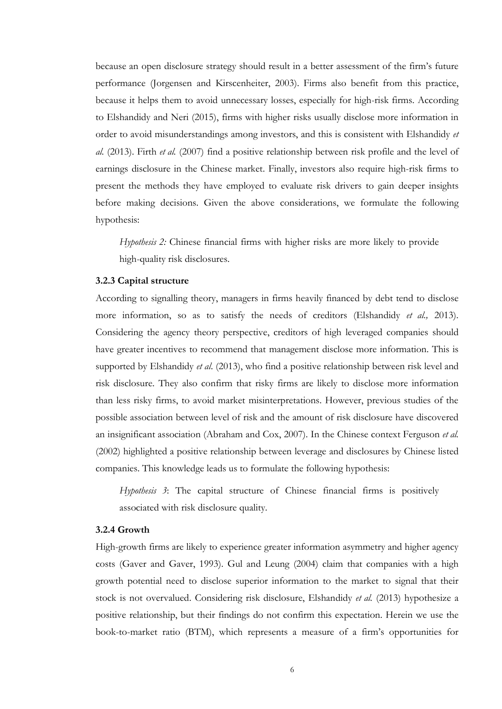because an open disclosure strategy should result in a better assessment of the firm's future performance (Jorgensen and Kirscenheiter, 2003). Firms also benefit from this practice, because it helps them to avoid unnecessary losses, especially for high-risk firms. According to Elshandidy and Neri (2015), firms with higher risks usually disclose more information in order to avoid misunderstandings among investors, and this is consistent with Elshandidy et al. (2013). Firth et al. (2007) find a positive relationship between risk profile and the level of earnings disclosure in the Chinese market. Finally, investors also require high-risk firms to present the methods they have employed to evaluate risk drivers to gain deeper insights before making decisions. Given the above considerations, we formulate the following hypothesis:

Hypothesis 2: Chinese financial firms with higher risks are more likely to provide high-quality risk disclosures.

#### 3.2.3 Capital structure

According to signalling theory, managers in firms heavily financed by debt tend to disclose more information, so as to satisfy the needs of creditors (Elshandidy et al., 2013). Considering the agency theory perspective, creditors of high leveraged companies should have greater incentives to recommend that management disclose more information. This is supported by Elshandidy *et al.* (2013), who find a positive relationship between risk level and risk disclosure. They also confirm that risky firms are likely to disclose more information than less risky firms, to avoid market misinterpretations. However, previous studies of the possible association between level of risk and the amount of risk disclosure have discovered an insignificant association (Abraham and Cox, 2007). In the Chinese context Ferguson et al. (2002) highlighted a positive relationship between leverage and disclosures by Chinese listed companies. This knowledge leads us to formulate the following hypothesis:

Hypothesis 3: The capital structure of Chinese financial firms is positively associated with risk disclosure quality.

# 3.2.4 Growth

High-growth firms are likely to experience greater information asymmetry and higher agency costs (Gaver and Gaver, 1993). Gul and Leung (2004) claim that companies with a high growth potential need to disclose superior information to the market to signal that their stock is not overvalued. Considering risk disclosure, Elshandidy et al. (2013) hypothesize a positive relationship, but their findings do not confirm this expectation. Herein we use the book-to-market ratio (BTM), which represents a measure of a firm's opportunities for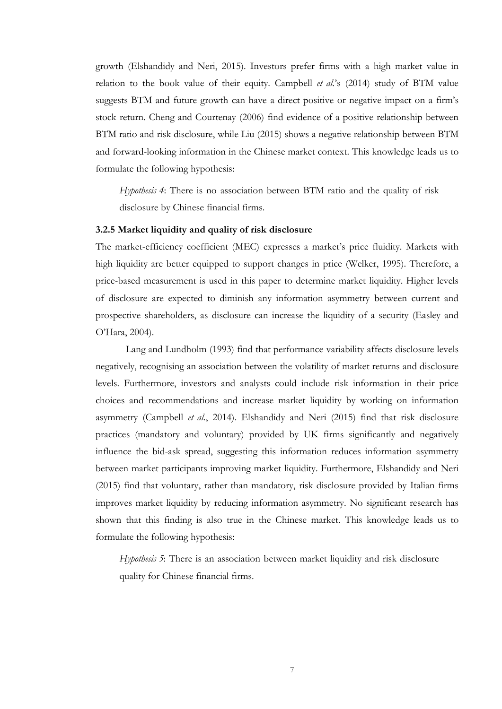growth (Elshandidy and Neri, 2015). Investors prefer firms with a high market value in relation to the book value of their equity. Campbell  $et$   $al$ 's (2014) study of BTM value suggests BTM and future growth can have a direct positive or negative impact on a firm's stock return. Cheng and Courtenay (2006) find evidence of a positive relationship between BTM ratio and risk disclosure, while Liu (2015) shows a negative relationship between BTM and forward-looking information in the Chinese market context. This knowledge leads us to formulate the following hypothesis:

Hypothesis 4: There is no association between BTM ratio and the quality of risk disclosure by Chinese financial firms.

# 3.2.5 Market liquidity and quality of risk disclosure

The market-efficiency coefficient (MEC) expresses a market's price fluidity. Markets with high liquidity are better equipped to support changes in price (Welker, 1995). Therefore, a price-based measurement is used in this paper to determine market liquidity. Higher levels of disclosure are expected to diminish any information asymmetry between current and prospective shareholders, as disclosure can increase the liquidity of a security (Easley and O'Hara, 2004).

Lang and Lundholm (1993) find that performance variability affects disclosure levels negatively, recognising an association between the volatility of market returns and disclosure levels. Furthermore, investors and analysts could include risk information in their price choices and recommendations and increase market liquidity by working on information asymmetry (Campbell et al., 2014). Elshandidy and Neri (2015) find that risk disclosure practices (mandatory and voluntary) provided by UK firms significantly and negatively influence the bid-ask spread, suggesting this information reduces information asymmetry between market participants improving market liquidity. Furthermore, Elshandidy and Neri (2015) find that voluntary, rather than mandatory, risk disclosure provided by Italian firms improves market liquidity by reducing information asymmetry. No significant research has shown that this finding is also true in the Chinese market. This knowledge leads us to formulate the following hypothesis:

Hypothesis 5: There is an association between market liquidity and risk disclosure quality for Chinese financial firms.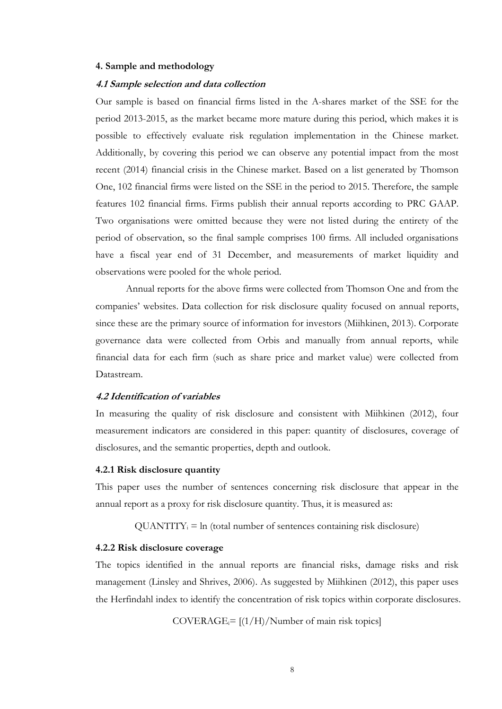#### 4. Sample and methodology

#### 4.1 Sample selection and data collection

Our sample is based on financial firms listed in the A-shares market of the SSE for the period 2013-2015, as the market became more mature during this period, which makes it is possible to effectively evaluate risk regulation implementation in the Chinese market. Additionally, by covering this period we can observe any potential impact from the most recent (2014) financial crisis in the Chinese market. Based on a list generated by Thomson One, 102 financial firms were listed on the SSE in the period to 2015. Therefore, the sample features 102 financial firms. Firms publish their annual reports according to PRC GAAP. Two organisations were omitted because they were not listed during the entirety of the period of observation, so the final sample comprises 100 firms. All included organisations have a fiscal year end of 31 December, and measurements of market liquidity and observations were pooled for the whole period.

Annual reports for the above firms were collected from Thomson One and from the companies' websites. Data collection for risk disclosure quality focused on annual reports, since these are the primary source of information for investors (Miihkinen, 2013). Corporate governance data were collected from Orbis and manually from annual reports, while financial data for each firm (such as share price and market value) were collected from Datastream.

# 4.2 Identification of variables

In measuring the quality of risk disclosure and consistent with Miihkinen (2012), four measurement indicators are considered in this paper: quantity of disclosures, coverage of disclosures, and the semantic properties, depth and outlook.

#### 4.2.1 Risk disclosure quantity

This paper uses the number of sentences concerning risk disclosure that appear in the annual report as a proxy for risk disclosure quantity. Thus, it is measured as:

 $QUANTITY_i = ln (total number of sentences containing risk disclosure)$ 

#### 4.2.2 Risk disclosure coverage

The topics identified in the annual reports are financial risks, damage risks and risk management (Linsley and Shrives, 2006). As suggested by Miihkinen (2012), this paper uses the Herfindahl index to identify the concentration of risk topics within corporate disclosures.

 $COVERAGE = [(1/H)/Number of main risk topics]$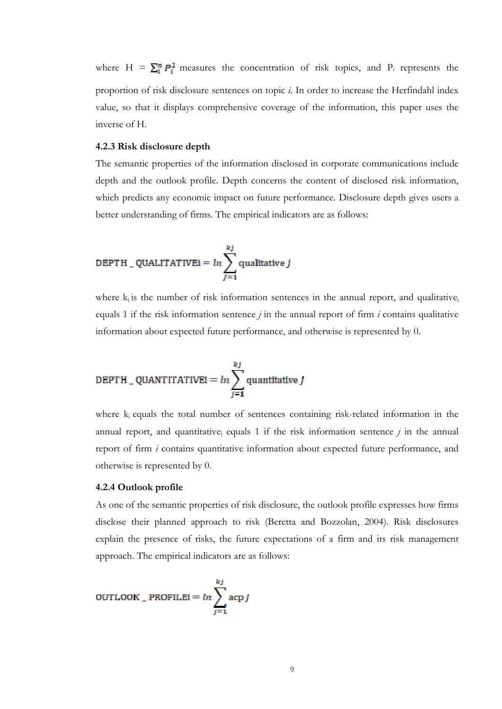where H =  $\sum_{i=1}^{n} P_i^2$  measures the concentration of risk topics, and P<sub>i</sub> represents the proportion of risk disclosure sentences on topic *i*. In order to increase the Herfindahl index value, so that it displays comprehensive coverage of the information, this paper uses the inverse of H.

#### 4.2.3 Risk disclosure depth

The semantic properties of the information disclosed in corporate communications include depth and the outlook profile. Depth concerns the content of disclosed risk information, which predicts any economic impact on future performance. Disclosure depth gives users a better understanding of firms. The empirical indicators are as follows:

**DEPTH** \_ **QUALITATIVEi** = 
$$
ln \sum_{j=1}^{kj}
$$
 **qualitative**  $j$ 

where  $k_i$  is the number of risk information sentences in the annual report, and qualitative<sub>i</sub> equals 1 if the risk information sentence  $j$  in the annual report of firm  $i$  contains qualitative information about expected future performance, and otherwise is represented by 0.

**DEPTH** \_ QuANTITATIVEI = 
$$
ln \sum_{j=1}^{kj}
$$
 quantitative *j*

where k<sub>i</sub> equals the total number of sentences containing risk-related information in the annual report, and quantitative equals 1 if the risk information sentence  $j$  in the annual report of firm i contains quantitative information about expected future performance, and otherwise is represented by 0.

# 4.2.4 Outlook profile

As one of the semantic properties of risk disclosure, the outlook profile expresses how firms disclose their planned approach to risk (Beretta and Bozzolan, 2004). Risk disclosures explain the presence of risks, the future expectations of a firm and its risk management approach. The empirical indicators are as follows:

$$
\text{OUTLOOK} \_ \text{PROFILE1} = \ln \sum_{j=1}^{kj} \text{acp } j
$$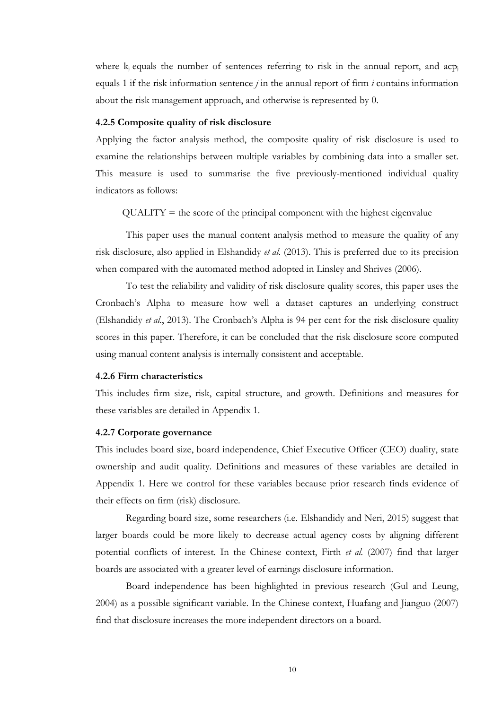where  $k_i$  equals the number of sentences referring to risk in the annual report, and  $acp_i$ equals 1 if the risk information sentence  $j$  in the annual report of firm  $i$  contains information about the risk management approach, and otherwise is represented by 0.

#### 4.2.5 Composite quality of risk disclosure

Applying the factor analysis method, the composite quality of risk disclosure is used to examine the relationships between multiple variables by combining data into a smaller set. This measure is used to summarise the five previously-mentioned individual quality indicators as follows:

 $\text{QUALITY}$  = the score of the principal component with the highest eigenvalue

This paper uses the manual content analysis method to measure the quality of any risk disclosure, also applied in Elshandidy et al. (2013). This is preferred due to its precision when compared with the automated method adopted in Linsley and Shrives (2006).

To test the reliability and validity of risk disclosure quality scores, this paper uses the Cronbach's Alpha to measure how well a dataset captures an underlying construct (Elshandidy et al., 2013). The Cronbach's Alpha is 94 per cent for the risk disclosure quality scores in this paper. Therefore, it can be concluded that the risk disclosure score computed using manual content analysis is internally consistent and acceptable.

#### 4.2.6 Firm characteristics

This includes firm size, risk, capital structure, and growth. Definitions and measures for these variables are detailed in Appendix 1.

#### 4.2.7 Corporate governance

This includes board size, board independence, Chief Executive Officer (CEO) duality, state ownership and audit quality. Definitions and measures of these variables are detailed in Appendix 1. Here we control for these variables because prior research finds evidence of their effects on firm (risk) disclosure.

Regarding board size, some researchers (i.e. Elshandidy and Neri, 2015) suggest that larger boards could be more likely to decrease actual agency costs by aligning different potential conflicts of interest. In the Chinese context, Firth et al. (2007) find that larger boards are associated with a greater level of earnings disclosure information.

Board independence has been highlighted in previous research (Gul and Leung, 2004) as a possible significant variable. In the Chinese context, Huafang and Jianguo (2007) find that disclosure increases the more independent directors on a board.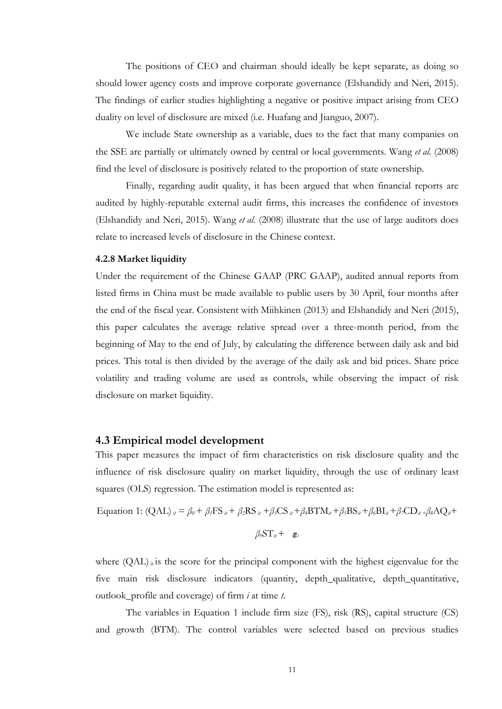The positions of CEO and chairman should ideally be kept separate, as doing so should lower agency costs and improve corporate governance (Elshandidy and Neri, 2015). The findings of earlier studies highlighting a negative or positive impact arising from CEO duality on level of disclosure are mixed (i.e. Huafang and Jianguo, 2007).

We include State ownership as a variable, dues to the fact that many companies on the SSE are partially or ultimately owned by central or local governments. Wang *et al.* (2008) find the level of disclosure is positively related to the proportion of state ownership.

Finally, regarding audit quality, it has been argued that when financial reports are audited by highly-reputable external audit firms, this increases the confidence of investors (Elshandidy and Neri, 2015). Wang et al. (2008) illustrate that the use of large auditors does relate to increased levels of disclosure in the Chinese context.

#### 4.2.8 Market liquidity

Under the requirement of the Chinese GAAP (PRC GAAP), audited annual reports from listed firms in China must be made available to public users by 30 April, four months after the end of the fiscal year. Consistent with Miihkinen (2013) and Elshandidy and Neri (2015), this paper calculates the average relative spread over a three-month period, from the beginning of May to the end of July, by calculating the difference between daily ask and bid prices. This total is then divided by the average of the daily ask and bid prices. Share price volatility and trading volume are used as controls, while observing the impact of risk disclosure on market liquidity.

# 4.3 Empirical model development

This paper measures the impact of firm characteristics on risk disclosure quality and the influence of risk disclosure quality on market liquidity, through the use of ordinary least squares (OLS) regression. The estimation model is represented as:

Equation 1:  $(QAL)_{ii} = \beta_0 + \beta_1 FS_{ii} + \beta_2 RS_{ii} + \beta_3 CS_{ii} + \beta_4 BTM_{ii} + \beta_5 BS_{ii} + \beta_6 BI_{ii} + \beta_7 CD_{ii} + \beta_8 AO_{ii} +$ 

$$
\beta_9 \text{ST}_{it} + \quad \blacksquare
$$

where  $(QAL)$ <sub>it</sub> is the score for the principal component with the highest eigenvalue for the five main risk disclosure indicators (quantity, depth qualitative, depth quantitative, outlook\_profile and coverage) of firm  $i$  at time  $t$ .

The variables in Equation 1 include firm size (FS), risk (RS), capital structure (CS) and growth (BTM). The control variables were selected based on previous studies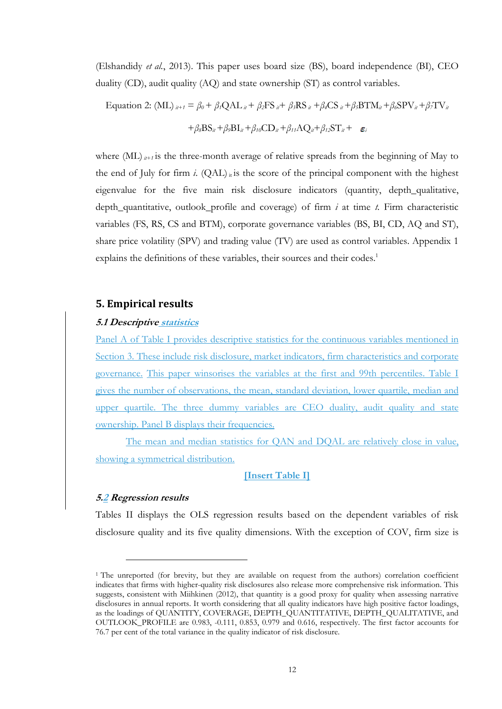(Elshandidy et al., 2013). This paper uses board size (BS), board independence (BI), CEO duality (CD), audit quality (AQ) and state ownership (ST) as control variables.

Equation 2: (ML)  $_{ii+1} = \beta_0 + \beta_1 QAL_{ii} + \beta_2 FS_{ii} + \beta_3 RS_{ii} + \beta_4 CS_{ii} + \beta_5 BTM_{ii} + \beta_6 SPV_{ii} + \beta_7 TV_{ii}$  $+\beta_8BS_{it}+\beta_9BI_{it}+\beta_{10}CD_{it}+\beta_{11}AQ_{it}+\beta_{12}ST_{it}$  +  $\varepsilon_i$ 

where  $(ML)_{i+1}$  is the three-month average of relative spreads from the beginning of May to the end of July for firm i.  $(QAL)$  is the score of the principal component with the highest eigenvalue for the five main risk disclosure indicators (quantity, depth\_qualitative, depth\_quantitative, outlook\_profile and coverage) of firm  $i$  at time  $t$ . Firm characteristic variables (FS, RS, CS and BTM), corporate governance variables (BS, BI, CD, AQ and ST), share price volatility (SPV) and trading value (TV) are used as control variables. Appendix 1 explains the definitions of these variables, their sources and their codes.<sup>1</sup>

# 5. Empirical results

# 5.1 Descriptive statistics

Panel A of Table I provides descriptive statistics for the continuous variables mentioned in Section 3. These include risk disclosure, market indicators, firm characteristics and corporate governance. This paper winsorises the variables at the first and 99th percentiles. Table I gives the number of observations, the mean, standard deviation, lower quartile, median and upper quartile. The three dummy variables are CEO duality, audit quality and state ownership. Panel B displays their frequencies.

The mean and median statistics for QAN and DQAL are relatively close in value, showing a symmetrical distribution.

# [Insert Table I]

#### 5.2 Regression results

 $\overline{a}$ 

Tables II displays the OLS regression results based on the dependent variables of risk disclosure quality and its five quality dimensions. With the exception of COV, firm size is

<sup>&</sup>lt;sup>1</sup> The unreported (for brevity, but they are available on request from the authors) correlation coefficient indicates that firms with higher-quality risk disclosures also release more comprehensive risk information. This suggests, consistent with Miihkinen (2012), that quantity is a good proxy for quality when assessing narrative disclosures in annual reports. It worth considering that all quality indicators have high positive factor loadings, as the loadings of QUANTITY, COVERAGE, DEPTH\_QUANTITATIVE, DEPTH\_QUALITATIVE, and OUTLOOK\_PROFILE are 0.983, -0.111, 0.853, 0.979 and 0.616, respectively. The first factor accounts for 76.7 per cent of the total variance in the quality indicator of risk disclosure.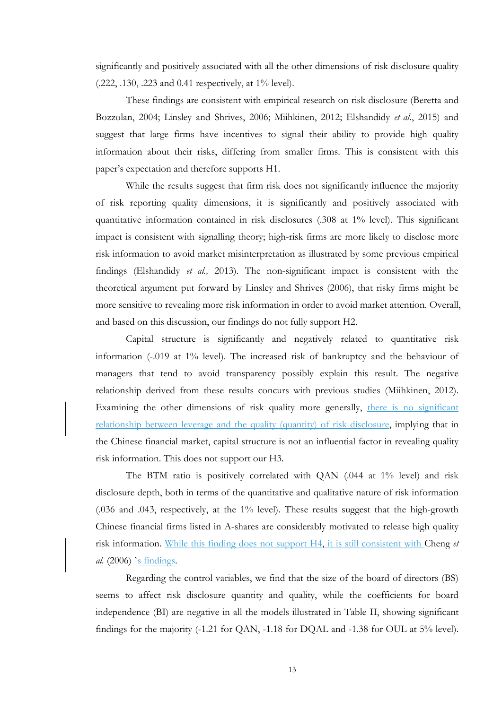significantly and positively associated with all the other dimensions of risk disclosure quality (.222, .130, .223 and 0.41 respectively, at 1% level).

These findings are consistent with empirical research on risk disclosure (Beretta and Bozzolan, 2004; Linsley and Shrives, 2006; Miihkinen, 2012; Elshandidy et al., 2015) and suggest that large firms have incentives to signal their ability to provide high quality information about their risks, differing from smaller firms. This is consistent with this paper's expectation and therefore supports H1.

While the results suggest that firm risk does not significantly influence the majority of risk reporting quality dimensions, it is significantly and positively associated with quantitative information contained in risk disclosures (.308 at 1% level). This significant impact is consistent with signalling theory; high-risk firms are more likely to disclose more risk information to avoid market misinterpretation as illustrated by some previous empirical findings (Elshandidy et al., 2013). The non-significant impact is consistent with the theoretical argument put forward by Linsley and Shrives (2006), that risky firms might be more sensitive to revealing more risk information in order to avoid market attention. Overall, and based on this discussion, our findings do not fully support H2.

Capital structure is significantly and negatively related to quantitative risk information (-.019 at 1% level). The increased risk of bankruptcy and the behaviour of managers that tend to avoid transparency possibly explain this result. The negative relationship derived from these results concurs with previous studies (Miihkinen, 2012). Examining the other dimensions of risk quality more generally, there is no significant relationship between leverage and the quality (quantity) of risk disclosure, implying that in the Chinese financial market, capital structure is not an influential factor in revealing quality risk information. This does not support our H3.

The BTM ratio is positively correlated with QAN (.044 at 1% level) and risk disclosure depth, both in terms of the quantitative and qualitative nature of risk information (.036 and .043, respectively, at the 1% level). These results suggest that the high-growth Chinese financial firms listed in A-shares are considerably motivated to release high quality risk information. While this finding does not support H4, it is still consistent with Cheng et al. (2006) `s findings.

Regarding the control variables, we find that the size of the board of directors (BS) seems to affect risk disclosure quantity and quality, while the coefficients for board independence (BI) are negative in all the models illustrated in Table II, showing significant findings for the majority (-1.21 for QAN, -1.18 for DQAL and -1.38 for OUL at 5% level).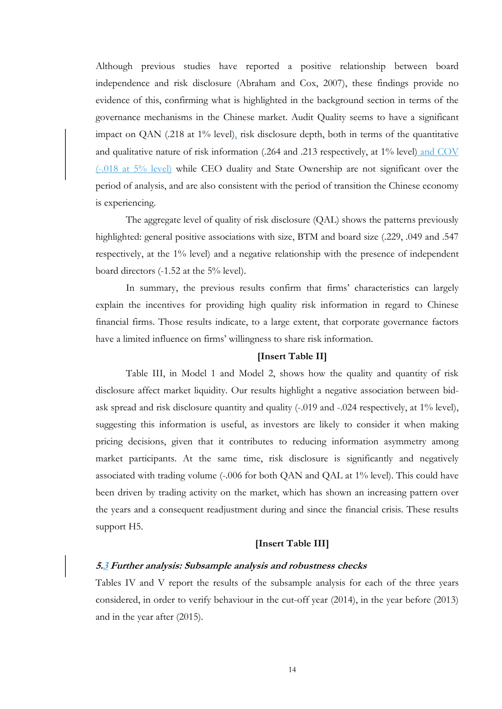Although previous studies have reported a positive relationship between board independence and risk disclosure (Abraham and Cox, 2007), these findings provide no evidence of this, confirming what is highlighted in the background section in terms of the governance mechanisms in the Chinese market. Audit Quality seems to have a significant impact on QAN (.218 at 1% level), risk disclosure depth, both in terms of the quantitative and qualitative nature of risk information (.264 and .213 respectively, at 1% level) and COV (-.018 at 5% level) while CEO duality and State Ownership are not significant over the period of analysis, and are also consistent with the period of transition the Chinese economy is experiencing.

The aggregate level of quality of risk disclosure (QAL) shows the patterns previously highlighted: general positive associations with size, BTM and board size (.229, .049 and .547 respectively, at the 1% level) and a negative relationship with the presence of independent board directors (-1.52 at the 5% level).

In summary, the previous results confirm that firms' characteristics can largely explain the incentives for providing high quality risk information in regard to Chinese financial firms. Those results indicate, to a large extent, that corporate governance factors have a limited influence on firms' willingness to share risk information.

#### [Insert Table II]

Table III, in Model 1 and Model 2, shows how the quality and quantity of risk disclosure affect market liquidity. Our results highlight a negative association between bidask spread and risk disclosure quantity and quality (-.019 and -.024 respectively, at 1% level), suggesting this information is useful, as investors are likely to consider it when making pricing decisions, given that it contributes to reducing information asymmetry among market participants. At the same time, risk disclosure is significantly and negatively associated with trading volume (-.006 for both QAN and QAL at 1% level). This could have been driven by trading activity on the market, which has shown an increasing pattern over the years and a consequent readjustment during and since the financial crisis. These results support H5.

# [Insert Table III]

#### 5.3 Further analysis: Subsample analysis and robustness checks

Tables IV and V report the results of the subsample analysis for each of the three years considered, in order to verify behaviour in the cut-off year (2014), in the year before (2013) and in the year after (2015).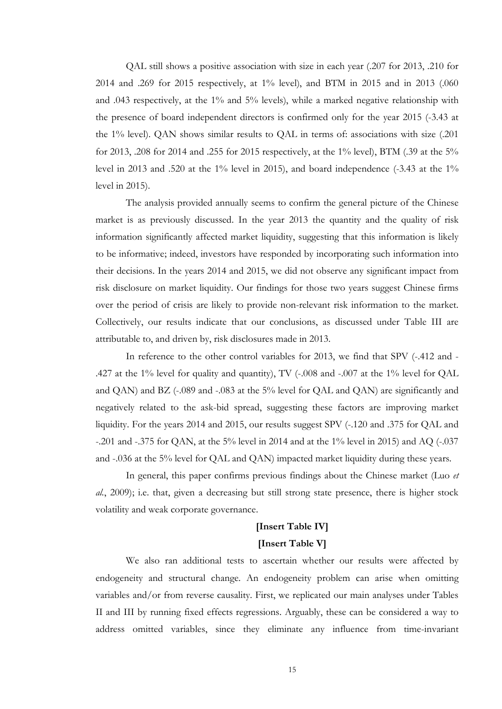QAL still shows a positive association with size in each year (.207 for 2013, .210 for 2014 and .269 for 2015 respectively, at 1% level), and BTM in 2015 and in 2013 (.060 and .043 respectively, at the 1% and 5% levels), while a marked negative relationship with the presence of board independent directors is confirmed only for the year 2015 (-3.43 at the 1% level). QAN shows similar results to QAL in terms of: associations with size (.201 for 2013, .208 for 2014 and .255 for 2015 respectively, at the 1% level), BTM (.39 at the 5% level in 2013 and .520 at the 1% level in 2015), and board independence (-3.43 at the 1% level in 2015).

The analysis provided annually seems to confirm the general picture of the Chinese market is as previously discussed. In the year 2013 the quantity and the quality of risk information significantly affected market liquidity, suggesting that this information is likely to be informative; indeed, investors have responded by incorporating such information into their decisions. In the years 2014 and 2015, we did not observe any significant impact from risk disclosure on market liquidity. Our findings for those two years suggest Chinese firms over the period of crisis are likely to provide non-relevant risk information to the market. Collectively, our results indicate that our conclusions, as discussed under Table III are attributable to, and driven by, risk disclosures made in 2013.

In reference to the other control variables for 2013, we find that SPV (-.412 and - .427 at the 1% level for quality and quantity), TV (-.008 and -.007 at the 1% level for QAL and QAN) and BZ (-.089 and -.083 at the 5% level for QAL and QAN) are significantly and negatively related to the ask-bid spread, suggesting these factors are improving market liquidity. For the years 2014 and 2015, our results suggest SPV (-.120 and .375 for QAL and -.201 and -.375 for QAN, at the 5% level in 2014 and at the 1% level in 2015) and AQ (-.037 and -.036 at the 5% level for QAL and QAN) impacted market liquidity during these years.

In general, this paper confirms previous findings about the Chinese market (Luo et al., 2009); i.e. that, given a decreasing but still strong state presence, there is higher stock volatility and weak corporate governance.

# [Insert Table IV] [Insert Table V]

We also ran additional tests to ascertain whether our results were affected by endogeneity and structural change. An endogeneity problem can arise when omitting variables and/or from reverse causality. First, we replicated our main analyses under Tables II and III by running fixed effects regressions. Arguably, these can be considered a way to address omitted variables, since they eliminate any influence from time-invariant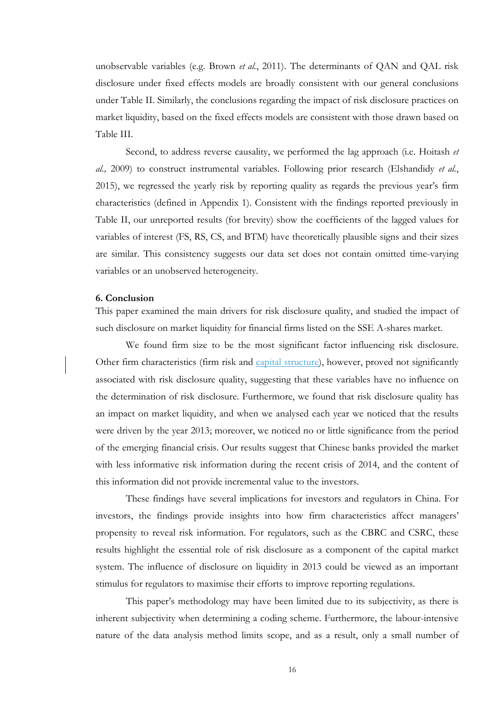unobservable variables (e.g. Brown et al., 2011). The determinants of QAN and QAL risk disclosure under fixed effects models are broadly consistent with our general conclusions under Table II. Similarly, the conclusions regarding the impact of risk disclosure practices on market liquidity, based on the fixed effects models are consistent with those drawn based on Table III.

Second, to address reverse causality, we performed the lag approach (i.e. Hoitash et al., 2009) to construct instrumental variables. Following prior research (Elshandidy et al., 2015), we regressed the yearly risk by reporting quality as regards the previous year's firm characteristics (defined in Appendix 1). Consistent with the findings reported previously in Table II, our unreported results (for brevity) show the coefficients of the lagged values for variables of interest (FS, RS, CS, and BTM) have theoretically plausible signs and their sizes are similar. This consistency suggests our data set does not contain omitted time-varying variables or an unobserved heterogeneity.

#### 6. Conclusion

This paper examined the main drivers for risk disclosure quality, and studied the impact of such disclosure on market liquidity for financial firms listed on the SSE A-shares market.

We found firm size to be the most significant factor influencing risk disclosure. Other firm characteristics (firm risk and capital structure), however, proved not significantly associated with risk disclosure quality, suggesting that these variables have no influence on the determination of risk disclosure. Furthermore, we found that risk disclosure quality has an impact on market liquidity, and when we analysed each year we noticed that the results were driven by the year 2013; moreover, we noticed no or little significance from the period of the emerging financial crisis. Our results suggest that Chinese banks provided the market with less informative risk information during the recent crisis of 2014, and the content of this information did not provide incremental value to the investors.

These findings have several implications for investors and regulators in China. For investors, the findings provide insights into how firm characteristics affect managers' propensity to reveal risk information. For regulators, such as the CBRC and CSRC, these results highlight the essential role of risk disclosure as a component of the capital market system. The influence of disclosure on liquidity in 2013 could be viewed as an important stimulus for regulators to maximise their efforts to improve reporting regulations.

This paper's methodology may have been limited due to its subjectivity, as there is inherent subjectivity when determining a coding scheme. Furthermore, the labour-intensive nature of the data analysis method limits scope, and as a result, only a small number of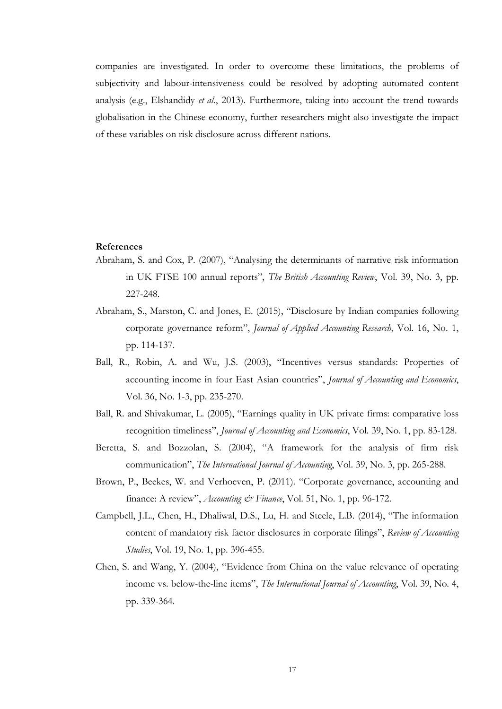companies are investigated. In order to overcome these limitations, the problems of subjectivity and labour-intensiveness could be resolved by adopting automated content analysis (e.g., Elshandidy et al., 2013). Furthermore, taking into account the trend towards globalisation in the Chinese economy, further researchers might also investigate the impact of these variables on risk disclosure across different nations.

#### References

- Abraham, S. and Cox, P. (2007), "Analysing the determinants of narrative risk information in UK FTSE 100 annual reports", The British Accounting Review, Vol. 39, No. 3, pp. 227-248.
- Abraham, S., Marston, C. and Jones, E. (2015), "Disclosure by Indian companies following corporate governance reform", Journal of Applied Accounting Research, Vol. 16, No. 1, pp. 114-137.
- Ball, R., Robin, A. and Wu, J.S. (2003), "Incentives versus standards: Properties of accounting income in four East Asian countries", Journal of Accounting and Economics, Vol. 36, No. 1-3, pp. 235-270.
- Ball, R. and Shivakumar, L. (2005), "Earnings quality in UK private firms: comparative loss recognition timeliness", Journal of Accounting and Economics, Vol. 39, No. 1, pp. 83-128.
- Beretta, S. and Bozzolan, S. (2004), "A framework for the analysis of firm risk communication", The International Journal of Accounting, Vol. 39, No. 3, pp. 265-288.
- Brown, P., Beekes, W. and Verhoeven, P. (2011). "Corporate governance, accounting and finance: A review", Accounting & Finance, Vol. 51, No. 1, pp. 96-172.
- Campbell, J.L., Chen, H., Dhaliwal, D.S., Lu, H. and Steele, L.B. (2014), "The information content of mandatory risk factor disclosures in corporate filings", Review of Accounting Studies, Vol. 19, No. 1, pp. 396-455.
- Chen, S. and Wang, Y. (2004), "Evidence from China on the value relevance of operating income vs. below-the-line items", The International Journal of Accounting, Vol. 39, No. 4, pp. 339-364.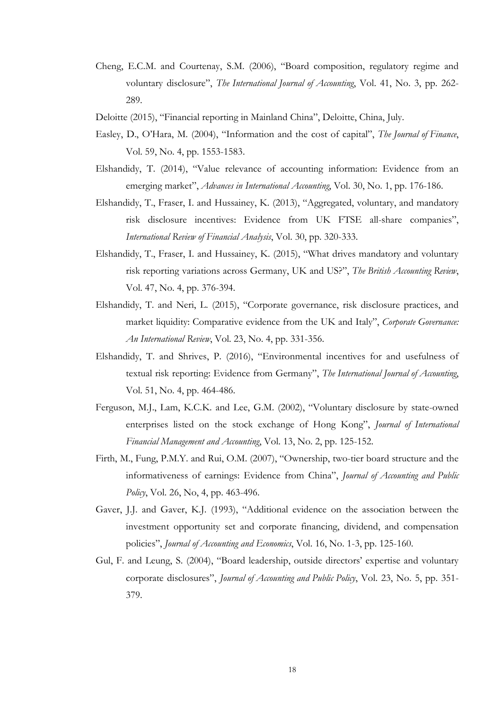- Cheng, E.C.M. and Courtenay, S.M. (2006), "Board composition, regulatory regime and voluntary disclosure", The International Journal of Accounting, Vol. 41, No. 3, pp. 262-289.
- Deloitte (2015), "Financial reporting in Mainland China", Deloitte, China, July.
- Easley, D., O'Hara, M. (2004), "Information and the cost of capital", The Journal of Finance, Vol. 59, No. 4, pp. 1553-1583.
- Elshandidy, T. (2014), "Value relevance of accounting information: Evidence from an emerging market", Advances in International Accounting, Vol. 30, No. 1, pp. 176-186.
- Elshandidy, T., Fraser, I. and Hussainey, K. (2013), "Aggregated, voluntary, and mandatory risk disclosure incentives: Evidence from UK FTSE all-share companies", International Review of Financial Analysis, Vol. 30, pp. 320-333.
- Elshandidy, T., Fraser, I. and Hussainey, K. (2015), "What drives mandatory and voluntary risk reporting variations across Germany, UK and US?", The British Accounting Review, Vol. 47, No. 4, pp. 376-394.
- Elshandidy, T. and Neri, L. (2015), "Corporate governance, risk disclosure practices, and market liquidity: Comparative evidence from the UK and Italy", Corporate Governance: An International Review, Vol. 23, No. 4, pp. 331-356.
- Elshandidy, T. and Shrives, P. (2016), "Environmental incentives for and usefulness of textual risk reporting: Evidence from Germany", The International Journal of Accounting, Vol. 51, No. 4, pp. 464-486.
- Ferguson, M.J., Lam, K.C.K. and Lee, G.M. (2002), "Voluntary disclosure by state-owned enterprises listed on the stock exchange of Hong Kong", Journal of International Financial Management and Accounting, Vol. 13, No. 2, pp. 125-152.
- Firth, M., Fung, P.M.Y. and Rui, O.M. (2007), "Ownership, two-tier board structure and the informativeness of earnings: Evidence from China", Journal of Accounting and Public Policy, Vol. 26, No, 4, pp. 463-496.
- Gaver, J.J. and Gaver, K.J. (1993), "Additional evidence on the association between the investment opportunity set and corporate financing, dividend, and compensation policies", Journal of Accounting and Economics, Vol. 16, No. 1-3, pp. 125-160.
- Gul, F. and Leung, S. (2004), "Board leadership, outside directors' expertise and voluntary corporate disclosures", Journal of Accounting and Public Policy, Vol. 23, No. 5, pp. 351-379.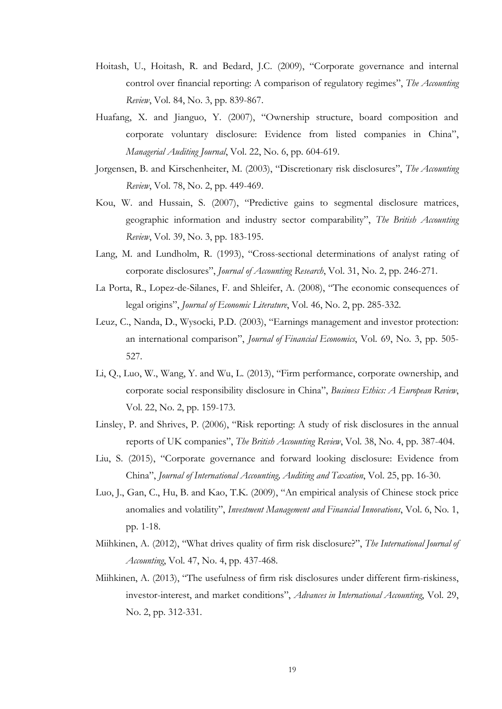- Hoitash, U., Hoitash, R. and Bedard, J.C. (2009), "Corporate governance and internal control over financial reporting: A comparison of regulatory regimes", The Accounting Review, Vol. 84, No. 3, pp. 839-867.
- Huafang, X. and Jianguo, Y. (2007), "Ownership structure, board composition and corporate voluntary disclosure: Evidence from listed companies in China", Managerial Auditing Journal, Vol. 22, No. 6, pp. 604-619.
- Jorgensen, B. and Kirschenheiter, M. (2003), "Discretionary risk disclosures", The Accounting Review, Vol. 78, No. 2, pp. 449-469.
- Kou, W. and Hussain, S. (2007), "Predictive gains to segmental disclosure matrices, geographic information and industry sector comparability", The British Accounting Review, Vol. 39, No. 3, pp. 183-195.
- Lang, M. and Lundholm, R. (1993), "Cross-sectional determinations of analyst rating of corporate disclosures", Journal of Accounting Research, Vol. 31, No. 2, pp. 246-271.
- La Porta, R., Lopez-de-Silanes, F. and Shleifer, A. (2008), "The economic consequences of legal origins", Journal of Economic Literature, Vol. 46, No. 2, pp. 285-332.
- Leuz, C., Nanda, D., Wysocki, P.D. (2003), "Earnings management and investor protection: an international comparison", Journal of Financial Economics, Vol. 69, No. 3, pp. 505- 527.
- Li, Q., Luo, W., Wang, Y. and Wu, L. (2013), "Firm performance, corporate ownership, and corporate social responsibility disclosure in China", Business Ethics: A European Review, Vol. 22, No. 2, pp. 159-173.
- Linsley, P. and Shrives, P. (2006), "Risk reporting: A study of risk disclosures in the annual reports of UK companies", The British Accounting Review, Vol. 38, No. 4, pp. 387-404.
- Liu, S. (2015), "Corporate governance and forward looking disclosure: Evidence from China", Journal of International Accounting, Auditing and Taxation, Vol. 25, pp. 16-30.
- Luo, J., Gan, C., Hu, B. and Kao, T.K. (2009), "An empirical analysis of Chinese stock price anomalies and volatility", Investment Management and Financial Innovations, Vol. 6, No. 1, pp. 1-18.
- Miihkinen, A. (2012), "What drives quality of firm risk disclosure?", The International Journal of Accounting, Vol. 47, No. 4, pp. 437-468.
- Miihkinen, A. (2013), "The usefulness of firm risk disclosures under different firm-riskiness, investor-interest, and market conditions", Advances in International Accounting, Vol. 29, No. 2, pp. 312-331.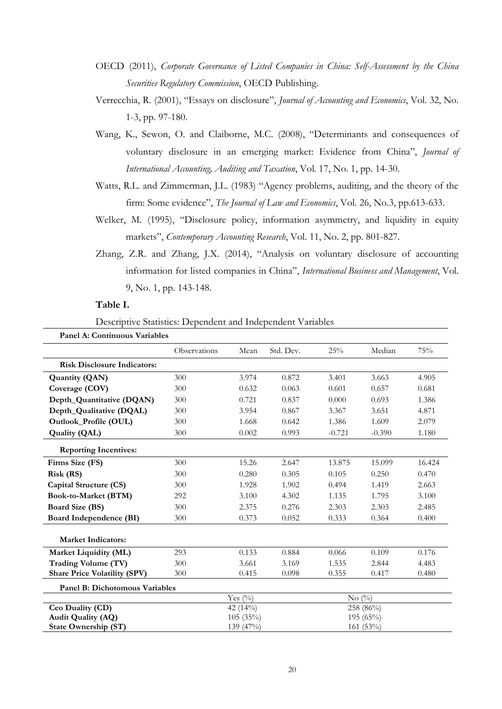- OECD (2011), Corporate Governance of Listed Companies in China: Self-Assessment by the China Securities Regulatory Commission, OECD Publishing.
- Verrecchia, R. (2001), "Essays on disclosure", Journal of Accounting and Economics, Vol. 32, No. 1-3, pp. 97-180.
- Wang, K., Sewon, O. and Claiborne, M.C. (2008), "Determinants and consequences of voluntary disclosure in an emerging market: Evidence from China", Journal of International Accounting, Auditing and Taxation, Vol. 17, No. 1, pp. 14-30.
- Watts, R.L. and Zimmerman, J.L. (1983) "Agency problems, auditing, and the theory of the firm: Some evidence", The Journal of Law and Economics, Vol. 26, No.3, pp.613-633.
- Welker, M. (1995), "Disclosure policy, information asymmetry, and liquidity in equity markets", Contemporary Accounting Research, Vol. 11, No. 2, pp. 801-827.
- Zhang, Z.R. and Zhang, J.X. (2014), "Analysis on voluntary disclosure of accounting information for listed companies in China", International Business and Management, Vol. 9, No. 1, pp. 143-148.

### Table I.

Descriptive Statistics: Dependent and Independent Variables

| Panel A: Continuous Variables       |                         |                       |           |           |              |        |  |  |  |  |
|-------------------------------------|-------------------------|-----------------------|-----------|-----------|--------------|--------|--|--|--|--|
|                                     | Observations            | Mean                  | Std. Dev. | 25%       | Median       | 75%    |  |  |  |  |
| <b>Risk Disclosure Indicators:</b>  |                         |                       |           |           |              |        |  |  |  |  |
| Quantity (QAN)                      | 300                     | 3.974                 | 0.872     | 3.401     | 3.663        | 4.905  |  |  |  |  |
| Coverage (COV)                      | 300                     | 0.632                 | 0.063     | 0.601     | 0.657        | 0.681  |  |  |  |  |
| Depth_Quantitative (DQAN)           | 300                     | 0.721                 | 0.837     | 0.000     | 0.693        | 1.386  |  |  |  |  |
| Depth_Qualitative (DQAL)            | 300                     | 3.954                 | 0.867     | 3.367     | 3.651        | 4.871  |  |  |  |  |
| Outlook_Profile (OUL)               | 300                     | 1.668                 | 0.642     | 1.386     | 1.609        | 2.079  |  |  |  |  |
| <b>Quality (QAL)</b>                | 300                     | 0.002                 | 0.993     | $-0.721$  | $-0.390$     | 1.180  |  |  |  |  |
| <b>Reporting Incentives:</b>        |                         |                       |           |           |              |        |  |  |  |  |
| Firms Size (FS)                     | 300                     | 15.26                 | 2.647     | 13.875    | 15.099       | 16.424 |  |  |  |  |
| Risk (RS)                           | 300                     | 0.280                 | 0.305     | 0.105     | 0.250        | 0.470  |  |  |  |  |
| Capital Structure (CS)              | 300                     | 1.928                 | 1.902     | 0.494     | 1.419        | 2.663  |  |  |  |  |
| Book-to-Market (BTM)                | 292                     | 3.100                 | 4.302     | 1.135     | 1.795        | 3.100  |  |  |  |  |
| <b>Board Size (BS)</b>              | 300                     | 2.375                 | 0.276     | 2.303     | 2.303        | 2.485  |  |  |  |  |
| Board Independence (BI)             | 300                     | 0.373                 | 0.052     | 0.333     | 0.364        | 0.400  |  |  |  |  |
| <b>Market Indicators:</b>           |                         |                       |           |           |              |        |  |  |  |  |
| Market Liquidity (ML)               | 293                     | 0.133                 | 0.884     | 0.066     | 0.109        | 0.176  |  |  |  |  |
| Trading Volume (TV)                 | 300                     | 3.661                 | 3.169     | 1.535     | 2.844        | 4.483  |  |  |  |  |
| <b>Share Price Volatility (SPV)</b> | 300                     | 0.415                 | 0.098     | 0.355     | 0.417        | 0.480  |  |  |  |  |
| Panel B: Dichotomous Variables      |                         |                       |           |           |              |        |  |  |  |  |
|                                     | Yes $(\%)$<br>No $(\%)$ |                       |           |           |              |        |  |  |  |  |
| Ceo Duality (CD)                    |                         | 42 $(14\%)$           |           | 258 (86%) |              |        |  |  |  |  |
| <b>Audit Quality (AQ)</b>           |                         | 105(35%)<br>195 (65%) |           |           |              |        |  |  |  |  |
| State Ownership (ST)                |                         | 139 (47%)             |           |           | 161 $(53\%)$ |        |  |  |  |  |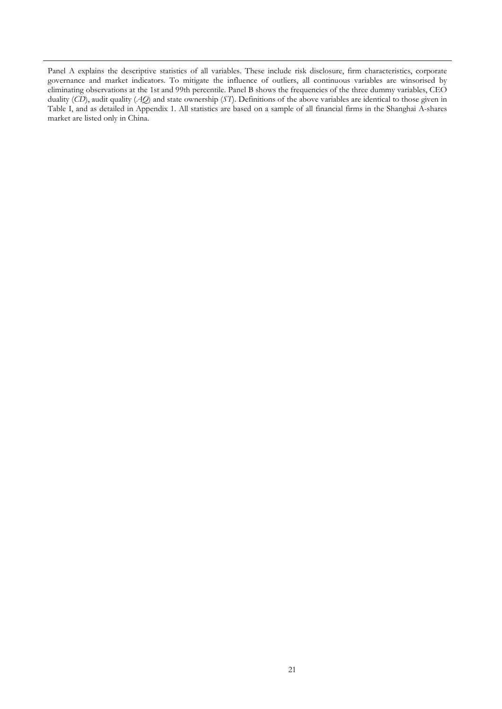Panel A explains the descriptive statistics of all variables. These include risk disclosure, firm characteristics, corporate governance and market indicators. To mitigate the influence of outliers, all continuous variables are winsorised by eliminating observations at the 1st and 99th percentile. Panel B shows the frequencies of the three dummy variables, CEO duality (CD), audit quality  $(AQ)$  and state ownership (ST). Definitions of the above variables are identical to those given in Table I, and as detailed in Appendix 1. All statistics are based on a sample of all financial firms in the Shanghai A-shares market are listed only in China.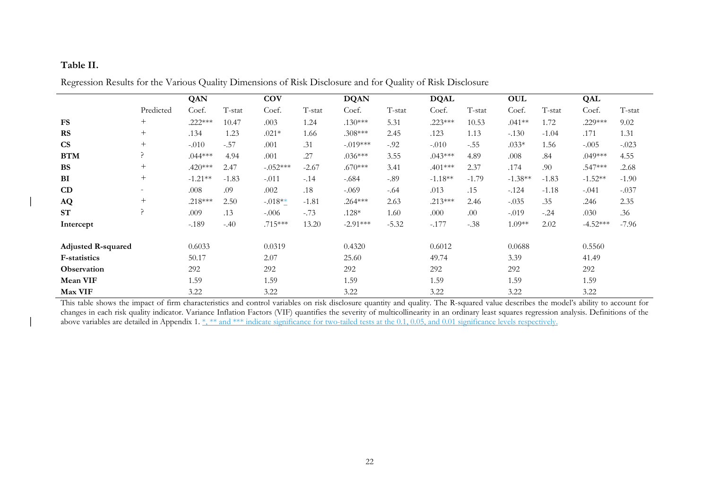# Table II.

|                           |                          | QAN       |         | <b>COV</b> |         | <b>DQAN</b> |         | <b>DQAL</b> |         | OUL       |         | QAL        |         |
|---------------------------|--------------------------|-----------|---------|------------|---------|-------------|---------|-------------|---------|-----------|---------|------------|---------|
|                           | Predicted                | Coef.     | T-stat  | Coef.      | T-stat  | Coef.       | T-stat  | Coef.       | T-stat  | Coef.     | T-stat  | Coef.      | T-stat  |
| <b>FS</b>                 | $^{+}$                   | .222***   | 10.47   | .003       | 1.24    | $.130***$   | 5.31    | .223***     | 10.53   | $.041**$  | 1.72    | .229***    | 9.02    |
| <b>RS</b>                 | $^{+}$                   | .134      | 1.23    | $.021*$    | 1.66    | $.308***$   | 2.45    | .123        | 1.13    | $-.130$   | $-1.04$ | .171       | 1.31    |
| <b>CS</b>                 | $^{+}$                   | $-.010$   | $-.57$  | .001       | .31     | $-.019***$  | $-.92$  | $-.010$     | $-.55$  | $.033*$   | 1.56    | $-.005$    | $-.023$ |
| <b>BTM</b>                | ?                        | $.044***$ | 4.94    | .001       | .27     | $.036***$   | 3.55    | $.043***$   | 4.89    | .008      | .84     | .049***    | 4.55    |
| <b>BS</b>                 | $^{+}$                   | $.420***$ | 2.47    | $-.052***$ | $-2.67$ | $.670***$   | 3.41    | $.401***$   | 2.37    | .174      | .90     | .547***    | .2.68   |
| BI                        | $^{+}$                   | $-1.21**$ | $-1.83$ | $-.011$    | $-.14$  | $-.684$     | $-.89$  | $-1.18**$   | $-1.79$ | $-1.38**$ | $-1.83$ | $-1.52**$  | $-1.90$ |
| CD                        | $\overline{\phantom{a}}$ | .008      | .09     | .002       | .18     | $-069$      | $-.64$  | .013        | .15     | $-.124$   | $-1.18$ | $-.041$    | $-.037$ |
| AQ                        | $^{+}$                   | $.218***$ | 2.50    | $-018**$   | $-1.81$ | $.264***$   | 2.63    | $.213***$   | 2.46    | $-.035$   | .35     | .246       | 2.35    |
| <b>ST</b>                 | ?                        | .009      | .13     | $-.006$    | $-.73$  | $.128*$     | 1.60    | .000        | .00     | $-.019$   | $-.24$  | .030       | .36     |
| Intercept                 |                          | $-.189$   | $-.40$  | .715***    | 13.20   | $-2.91***$  | $-5.32$ | $-.177$     | $-.38$  | $1.09**$  | 2.02    | $-4.52***$ | $-7.96$ |
| <b>Adjusted R-squared</b> |                          | 0.6033    |         | 0.0319     |         | 0.4320      |         | 0.6012      |         | 0.0688    |         | 0.5560     |         |
| <b>F-statistics</b>       |                          | 50.17     |         | 2.07       |         | 25.60       |         | 49.74       |         | 3.39      |         | 41.49      |         |
| Observation               |                          | 292       |         | 292        |         | 292         |         | 292         |         | 292       |         | 292        |         |
| Mean VIF                  |                          | 1.59      |         | 1.59       |         | 1.59        |         | 1.59        |         | 1.59      |         | 1.59       |         |
| Max VIF                   |                          | 3.22      |         | 3.22       |         | 3.22        |         | 3.22        |         | 3.22      |         | 3.22       |         |

Regression Results for the Various Quality Dimensions of Risk Disclosure and for Quality of Risk Disclosure

This table shows the impact of firm characteristics and control variables on risk disclosure quantity and quality. The R-squared value describes the model's ability to account for changes in each risk quality indicator. Variance Inflation Factors (VIF) quantifies the severity of multicollinearity in an ordinary least squares regression analysis. Definitions of the above variables are detailed in Appendix 1. \*, \*\* and \*\*\* indicate significance for two-tailed tests at the 0.1, 0.05, and 0.01 significance levels respectively.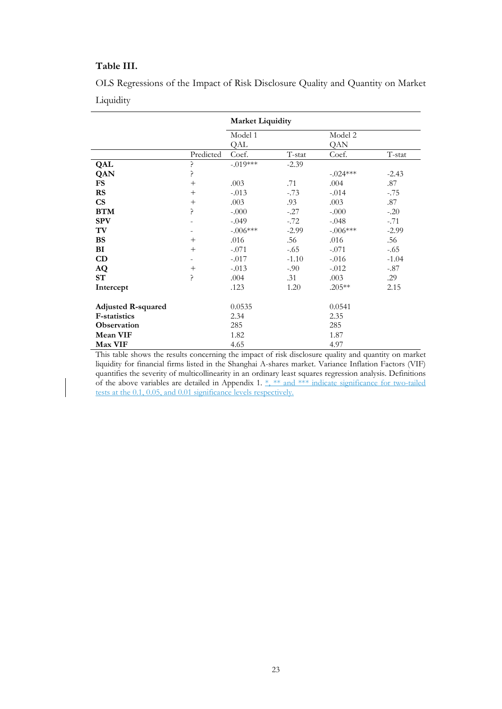# Table III.

OLS Regressions of the Impact of Risk Disclosure Quality and Quantity on Market Liquidity

|                           |                   | <b>Market Liquidity</b> |         |            |         |
|---------------------------|-------------------|-------------------------|---------|------------|---------|
|                           |                   | Model 1                 |         | Model 2    |         |
|                           |                   | QAL                     |         | QAN        |         |
|                           | Predicted         | Coef.                   | T-stat  | Coef.      | T-stat  |
| <b>QAL</b>                | ?                 | $-.019***$              | $-2.39$ |            |         |
| QAN                       | 5.                |                         |         | $-.024***$ | $-2.43$ |
| <b>FS</b>                 | $^{+}$            | .003                    | .71     | .004       | .87     |
| <b>RS</b>                 | $^{+}$            | $-.013$                 | $-.73$  | $-.014$    | $-.75$  |
| $\mathbf{C}\mathbf{S}$    | $^{+}$            | .003                    | .93     | .003       | .87     |
| <b>BTM</b>                | 5                 | $-.000$                 | $-.27$  | $-.000$    | $-.20$  |
| <b>SPV</b>                | $\qquad \qquad -$ | $-.049$                 | $-.72$  | $-.048$    | $-.71$  |
| TV                        | $\qquad \qquad -$ | $-.006***$              | $-2.99$ | $-.006***$ | $-2.99$ |
| <b>BS</b>                 | $^{+}$            | .016                    | .56     | .016       | .56     |
| BI                        | $^{+}$            | $-.071$                 | $-.65$  | $-.071$    | $-.65$  |
| CD                        | $\qquad \qquad -$ | $-.017$                 | $-1.10$ | $-.016$    | $-1.04$ |
| <b>AQ</b>                 | $^{+}$            | $-.013$                 | $-0.90$ | $-.012$    | $-.87$  |
| ST                        | 5.                | .004                    | .31     | .003       | .29     |
| Intercept                 |                   | .123                    | 1.20    | $.205**$   | 2.15    |
| <b>Adjusted R-squared</b> |                   | 0.0535                  |         | 0.0541     |         |
| <b>F-statistics</b>       |                   | 2.34                    |         | 2.35       |         |
| Observation               |                   | 285                     |         | 285        |         |
| Mean VIF                  |                   | 1.82                    |         | 1.87       |         |
| <b>Max VIF</b>            |                   | 4.65                    |         | 4.97       |         |

This table shows the results concerning the impact of risk disclosure quality and quantity on market liquidity for financial firms listed in the Shanghai A-shares market. Variance Inflation Factors (VIF) quantifies the severity of multicollinearity in an ordinary least squares regression analysis. Definitions of the above variables are detailed in Appendix 1.  $\frac{*}{2}$ ,  $\frac{**}{2}$  and  $\frac{***}{2}$  indicate significance for two-tailed tests at the 0.1, 0.05, and 0.01 significance levels respectively.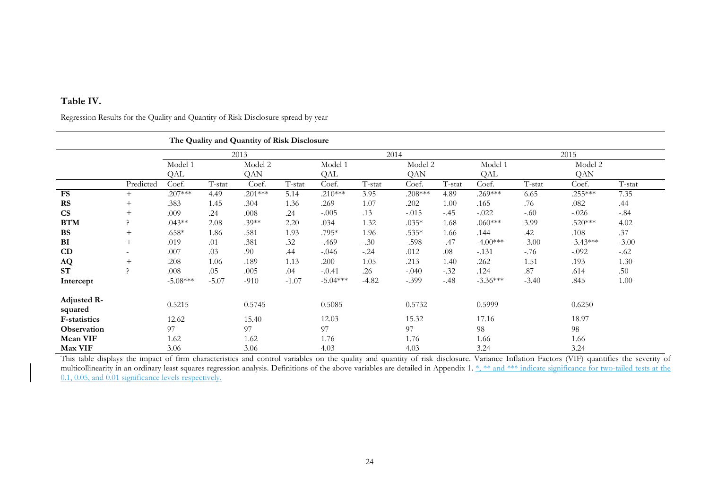# Table IV.

|                               | The Quality and Quantity of Risk Disclosure |            |         |           |         |                    |         |           |        |            |         |            |         |  |  |
|-------------------------------|---------------------------------------------|------------|---------|-----------|---------|--------------------|---------|-----------|--------|------------|---------|------------|---------|--|--|
|                               |                                             |            |         | 2013      |         |                    |         | 2014      |        | 2015       |         |            |         |  |  |
|                               |                                             | Model 1    |         | Model 2   |         | Model 1<br>Model 2 |         |           |        | Model 1    |         | Model 2    |         |  |  |
|                               |                                             | QAL        |         | QAN       |         | QAL                |         | QAN       |        | QAL        |         | QAN        |         |  |  |
|                               | Predicted                                   | Coef.      | T-stat  | Coef.     | T-stat  | Coef.              | T-stat  | Coef.     | T-stat | Coef.      | T-stat  | Coef.      | T-stat  |  |  |
| <b>FS</b>                     | $+$                                         | $.207***$  | 4.49    | $.201***$ | 5.14    | $.210***$          | 3.95    | $.208***$ | 4.89   | $.269***$  | 6.65    | $.255***$  | 7.35    |  |  |
| <b>RS</b>                     | $^{+}$                                      | .383       | 1.45    | .304      | 1.36    | .269               | 1.07    | .202      | 1.00   | .165       | .76     | .082       | .44     |  |  |
| <b>CS</b>                     | $+$                                         | .009       | .24     | .008      | .24     | $-.005$            | .13     | $-.015$   | $-.45$ | $-.022$    | $-.60$  | $-.026$    | $-.84$  |  |  |
| <b>BTM</b>                    |                                             | $.043**$   | 2.08    | $.39**$   | 2.20    | .034               | 1.32    | $.035*$   | 1.68   | $.060***$  | 3.99    | $.520***$  | 4.02    |  |  |
| <b>BS</b>                     | $^{+}$                                      | $.658*$    | 1.86    | .581      | 1.93    | .795*              | 1.96    | $.535*$   | 1.66   | .144       | .42     | .108       | .37     |  |  |
| BI                            | $+$                                         | .019       | .01     | .381      | .32     | $-469$             | $-.30$  | $-.598$   | $-.47$ | $-4.00***$ | $-3.00$ | $-3.43***$ | $-3.00$ |  |  |
| CD                            | $\sim$                                      | .007       | .03     | .90       | .44     | $-.046$            | $-.24$  | .012      | .08    | $-.131$    | $-.76$  | $-.092$    | $-.62$  |  |  |
| AQ                            | $^{+}$                                      | .208       | 1.06    | .189      | 1.13    | .200               | 1.05    | .213      | 1.40   | .262       | 1.51    | .193       | 1.30    |  |  |
| ST                            | $\mathbf{c}$                                | .008       | .05     | .005      | .04     | $-.0.41$           | .26     | $-.040$   | $-.32$ | .124       | .87     | .614       | .50     |  |  |
| Intercept                     |                                             | $-5.08***$ | $-5.07$ | $-910$    | $-1.07$ | $-5.04***$         | $-4.82$ | $-.399$   | $-.48$ | $-3.36***$ | $-3.40$ | .845       | 1.00    |  |  |
| <b>Adjusted R-</b><br>squared |                                             | 0.5215     |         | 0.5745    |         | 0.5085             |         | 0.5732    |        | 0.5999     |         | 0.6250     |         |  |  |
| <b>F-statistics</b>           |                                             | 12.62      |         | 15.40     |         | 12.03              |         | 15.32     |        | 17.16      |         | 18.97      |         |  |  |
| Observation                   |                                             | 97         |         | 97        |         | 97                 |         | 97        |        | 98         |         | 98         |         |  |  |
| Mean VIF                      |                                             | 1.62       |         | 1.62      |         | 1.76               |         | 1.76      |        | 1.66       |         | 1.66       |         |  |  |
| Max VIF                       |                                             | 3.06       |         | 3.06      |         | 4.03               |         | 4.03      |        | 3.24       |         | 3.24       |         |  |  |

Regression Results for the Quality and Quantity of Risk Disclosure spread by year

This table displays the impact of firm characteristics and control variables on the quality and quantity of risk disclosure. Variance Inflation Factors (VIF) quantifies the severity of multicollinearity in an ordinary least squares regression analysis. Definitions of the above variables are detailed in Appendix 1.  $\frac{*}{s} \cdot *$  and \*\*\* indicate significance for two-tailed tests at the 0.1, 0.05, and 0.01 significance levels respectively.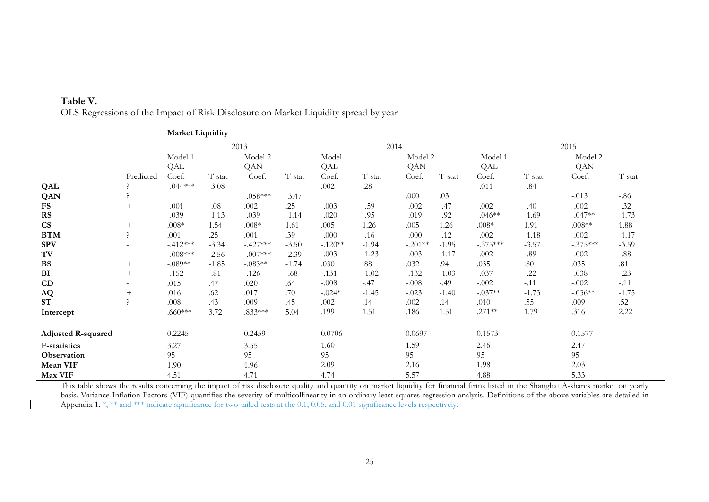|                           |                          | <b>Market Liquidity</b> |         |            |         |           |         |           |         |            |         |            |         |  |  |
|---------------------------|--------------------------|-------------------------|---------|------------|---------|-----------|---------|-----------|---------|------------|---------|------------|---------|--|--|
|                           |                          |                         |         | 2013       |         |           |         | 2014      |         |            | 2015    |            |         |  |  |
|                           |                          | Model 1                 |         | Model 2    |         | Model 1   |         | Model 2   |         | Model 1    |         | Model 2    |         |  |  |
|                           |                          | QAL                     |         | QAN        |         | QAL       |         | QAN       |         | <b>QAL</b> |         | QAN        |         |  |  |
|                           | Predicted                | Coef.                   | T-stat  | Coef.      | T-stat  | Coef.     | T-stat  | Coef.     | T-stat  | Coef.      | T-stat  | Coef.      | T-stat  |  |  |
| QAL                       |                          | $-.044***$              | $-3.08$ |            |         | .002      | .28     |           |         | $-.011$    | $-.84$  |            |         |  |  |
| QAN                       |                          |                         |         | $-.058***$ | $-3.47$ |           |         | .000      | .03     |            |         | $-.013$    | $-86$   |  |  |
| <b>FS</b>                 | $^{+}$                   | $-.001$                 | $-.08$  | .002       | .25     | $-.003$   | $-.59$  | $-.002$   | $-.47$  | $-.002$    | $-.40$  | $-.002$    | $-.32$  |  |  |
| <b>RS</b>                 |                          | $-.039$                 | $-1.13$ | $-.039$    | $-1.14$ | $-.020$   | $-.95$  | $-.019$   | $-.92$  | $-.046**$  | $-1.69$ | $-.047**$  | $-1.73$ |  |  |
| $\mathbf{C}\mathbf{S}$    | $^{+}$                   | $.008*$                 | 1.54    | $.008*$    | 1.61    | .005      | 1.26    | .005      | 1.26    | $.008*$    | 1.91    | $.008**$   | 1.88    |  |  |
| <b>BTM</b>                | ç                        | .001                    | .25     | .001       | .39     | $-.000$   | $-.16$  | $-0.000$  | $-.12$  | $-.002$    | $-1.18$ | $-.002$    | $-1.17$ |  |  |
| <b>SPV</b>                |                          | $-.412***$              | $-3.34$ | $-.427***$ | $-3.50$ | $-.120**$ | $-1.94$ | $-.201**$ | $-1.95$ | $-.375***$ | $-3.57$ | $-.375***$ | $-3.59$ |  |  |
| TV                        | $\overline{\phantom{a}}$ | $-.008$ ***             | $-2.56$ | $-.007***$ | $-2.39$ | $-.003$   | $-1.23$ | $-.003$   | $-1.17$ | $-.002$    | $-.89$  | $-.002$    | $-.88$  |  |  |
| <b>BS</b>                 | $^{+}$                   | $-.089**$               | $-1.85$ | $-.083**$  | $-1.74$ | .030      | $.88$   | .032      | .94     | .035       | .80     | .035       | .81     |  |  |
| BI                        | $^{+}$                   | $-152$                  | $-.81$  | $-126$     | $-.68$  | $-.131$   | $-1.02$ | $-.132$   | $-1.03$ | $-.037$    | $-.22$  | $-.038$    | $-.23$  |  |  |
| CD                        | $\overline{\phantom{a}}$ | .015                    | .47     | .020       | .64     | $-.008$   | $-.47$  | $-.008$   | $-.49$  | $-.002$    | $-.11$  | $-.002$    | $-.11$  |  |  |
| AQ                        | $^{+}$                   | .016                    | .62     | .017       | .70     | $-.024*$  | $-1.45$ | $-.023$   | $-1.40$ | $-.037**$  | $-1.73$ | $-.036**$  | $-1.75$ |  |  |
| <b>ST</b>                 | ς                        | .008                    | .43     | .009       | .45     | .002      | .14     | .002      | .14     | .010       | .55     | .009       | .52     |  |  |
| Intercept                 |                          | $.660***$               | 3.72    | .833***    | 5.04    | .199      | 1.51    | .186      | 1.51    | $.271**$   | 1.79    | .316       | 2.22    |  |  |
| <b>Adjusted R-squared</b> |                          | 0.2245                  |         | 0.2459     |         | 0.0706    |         | 0.0697    |         | 0.1573     |         | 0.1577     |         |  |  |
| <b>F-statistics</b>       |                          | 3.27                    |         | 3.55       |         | 1.60      |         | 1.59      |         | 2.46       |         | 2.47       |         |  |  |
| <b>Observation</b>        |                          | 95                      |         | 95         |         | 95        |         | 95        |         | 95         |         | 95         |         |  |  |
| Mean VIF                  |                          | 1.90                    |         | 1.96       |         | 2.09      |         | 2.16      |         | 1.98       |         | 2.03       |         |  |  |
| Max VIF                   |                          | 4.51                    |         | 4.71       |         | 4.74      |         | 5.57      |         | 4.88       |         | 5.33       |         |  |  |

# Table V. OLS Regressions of the Impact of Risk Disclosure on Market Liquidity spread by year

This table shows the results concerning the impact of risk disclosure quality and quantity on market liquidity for financial firms listed in the Shanghai A-shares market on yearly basis. Variance Inflation Factors (VIF) quantifies the severity of multicollinearity in an ordinary least squares regression analysis. Definitions of the above variables are detailed in Appendix 1. \*, \*\* and \*\*\* indicate significance for two-tailed tests at the 0.1, 0.05, and 0.01 significance levels respectively.